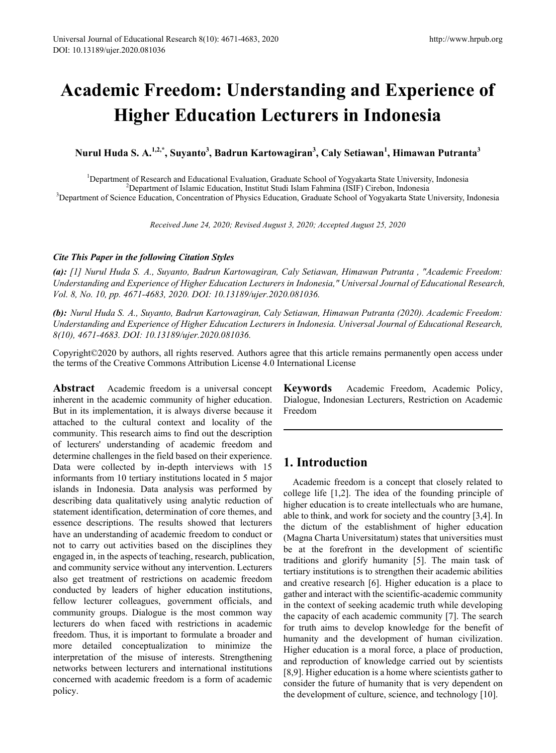# **Academic Freedom: Understanding and Experience of Higher Education Lecturers in Indonesia**

**Nurul Huda S. A.1,2,\* , Suyanto<sup>3</sup> , Badrun Kartowagiran<sup>3</sup> , Caly Setiawan<sup>1</sup> , Himawan Putranta<sup>3</sup>**

<sup>1</sup>Department of Research and Educational Evaluation, Graduate School of Yogyakarta State University, Indonesia<br><sup>2</sup>Department of Islamic Education, Institut Studi Islam Fahmina (ISIF) Cirebon, Indonesia Department of Islamic Education, Institut Studi Islam Fahmina (ISIF) Cirebon, Indonesia <sup>3</sup> Department of Science Education, Concentration of Physics Education, Graduate School of Yogyakarta State University, Indonesia

*Received June 24, 2020; Revised August 3, 2020; Accepted August 25, 2020*

#### *Cite This Paper in the following Citation Styles*

*(a): [1] Nurul Huda S. A., Suyanto, Badrun Kartowagiran, Caly Setiawan, Himawan Putranta , "Academic Freedom: Understanding and Experience of Higher Education Lecturers in Indonesia," Universal Journal of Educational Research, Vol. 8, No. 10, pp. 4671-4683, 2020. DOI: 10.13189/ujer.2020.081036.* 

*(b): Nurul Huda S. A., Suyanto, Badrun Kartowagiran, Caly Setiawan, Himawan Putranta (2020). Academic Freedom: Understanding and Experience of Higher Education Lecturers in Indonesia. Universal Journal of Educational Research, 8(10), 4671-4683. DOI: 10.13189/ujer.2020.081036.* 

Copyright©2020 by authors, all rights reserved. Authors agree that this article remains permanently open access under the terms of the Creative Commons Attribution License 4.0 International License

**Abstract** Academic freedom is a universal concept inherent in the academic community of higher education. But in its implementation, it is always diverse because it attached to the cultural context and locality of the community. This research aims to find out the description of lecturers' understanding of academic freedom and determine challenges in the field based on their experience. Data were collected by in-depth interviews with 15 informants from 10 tertiary institutions located in 5 major islands in Indonesia. Data analysis was performed by describing data qualitatively using analytic reduction of statement identification, determination of core themes, and essence descriptions. The results showed that lecturers have an understanding of academic freedom to conduct or not to carry out activities based on the disciplines they engaged in, in the aspects of teaching, research, publication, and community service without any intervention. Lecturers also get treatment of restrictions on academic freedom conducted by leaders of higher education institutions, fellow lecturer colleagues, government officials, and community groups. Dialogue is the most common way lecturers do when faced with restrictions in academic freedom. Thus, it is important to formulate a broader and more detailed conceptualization to minimize the interpretation of the misuse of interests. Strengthening networks between lecturers and international institutions concerned with academic freedom is a form of academic policy.

**Keywords** Academic Freedom, Academic Policy, Dialogue, Indonesian Lecturers, Restriction on Academic Freedom

# **1. Introduction**

Academic freedom is a concept that closely related to college life [1,2]. The idea of the founding principle of higher education is to create intellectuals who are humane, able to think, and work for society and the country [3,4]. In the dictum of the establishment of higher education (Magna Charta Universitatum) states that universities must be at the forefront in the development of scientific traditions and glorify humanity [5]. The main task of tertiary institutions is to strengthen their academic abilities and creative research [6]. Higher education is a place to gather and interact with the scientific-academic community in the context of seeking academic truth while developing the capacity of each academic community [7]. The search for truth aims to develop knowledge for the benefit of humanity and the development of human civilization. Higher education is a moral force, a place of production, and reproduction of knowledge carried out by scientists [8,9]. Higher education is a home where scientists gather to consider the future of humanity that is very dependent on the development of culture, science, and technology [10].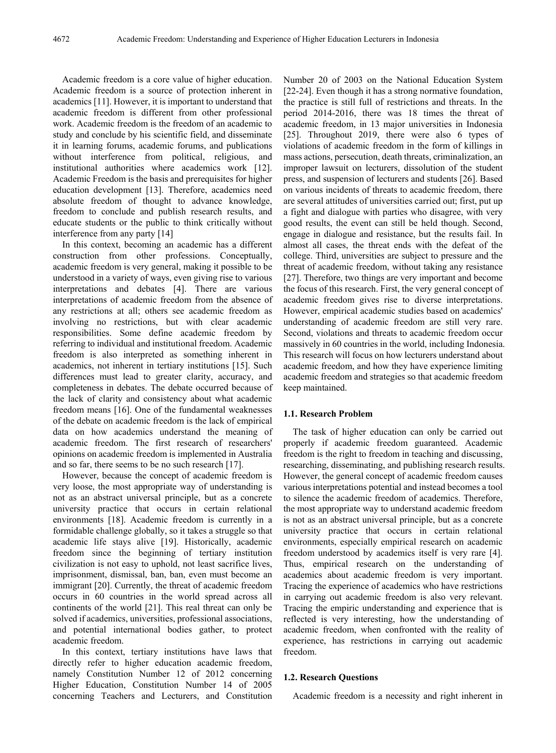Academic freedom is a core value of higher education. Academic freedom is a source of protection inherent in academics [11]. However, it is important to understand that academic freedom is different from other professional work. Academic freedom is the freedom of an academic to study and conclude by his scientific field, and disseminate it in learning forums, academic forums, and publications without interference from political, religious, and institutional authorities where academics work [12]. Academic Freedom is the basis and prerequisites for higher education development [13]. Therefore, academics need absolute freedom of thought to advance knowledge, freedom to conclude and publish research results, and educate students or the public to think critically without interference from any party [14]

In this context, becoming an academic has a different construction from other professions. Conceptually, academic freedom is very general, making it possible to be understood in a variety of ways, even giving rise to various interpretations and debates [4]. There are various interpretations of academic freedom from the absence of any restrictions at all; others see academic freedom as involving no restrictions, but with clear academic responsibilities. Some define academic freedom by referring to individual and institutional freedom. Academic freedom is also interpreted as something inherent in academics, not inherent in tertiary institutions [15]. Such differences must lead to greater clarity, accuracy, and completeness in debates. The debate occurred because of the lack of clarity and consistency about what academic freedom means [16]. One of the fundamental weaknesses of the debate on academic freedom is the lack of empirical data on how academics understand the meaning of academic freedom. The first research of researchers' opinions on academic freedom is implemented in Australia and so far, there seems to be no such research [17].

However, because the concept of academic freedom is very loose, the most appropriate way of understanding is not as an abstract universal principle, but as a concrete university practice that occurs in certain relational environments [18]. Academic freedom is currently in a formidable challenge globally, so it takes a struggle so that academic life stays alive [19]. Historically, academic freedom since the beginning of tertiary institution civilization is not easy to uphold, not least sacrifice lives, imprisonment, dismissal, ban, ban, even must become an immigrant [20]. Currently, the threat of academic freedom occurs in 60 countries in the world spread across all continents of the world [21]. This real threat can only be solved if academics, universities, professional associations, and potential international bodies gather, to protect academic freedom.

In this context, tertiary institutions have laws that directly refer to higher education academic freedom, namely Constitution Number 12 of 2012 concerning Higher Education, Constitution Number 14 of 2005 concerning Teachers and Lecturers, and Constitution Number 20 of 2003 on the National Education System [22-24]. Even though it has a strong normative foundation, the practice is still full of restrictions and threats. In the period 2014-2016, there was 18 times the threat of academic freedom, in 13 major universities in Indonesia [25]. Throughout 2019, there were also 6 types of violations of academic freedom in the form of killings in mass actions, persecution, death threats, criminalization, an improper lawsuit on lecturers, dissolution of the student press, and suspension of lecturers and students [26]. Based on various incidents of threats to academic freedom, there are several attitudes of universities carried out; first, put up a fight and dialogue with parties who disagree, with very good results, the event can still be held though. Second, engage in dialogue and resistance, but the results fail. In almost all cases, the threat ends with the defeat of the college. Third, universities are subject to pressure and the threat of academic freedom, without taking any resistance [27]. Therefore, two things are very important and become the focus of this research. First, the very general concept of academic freedom gives rise to diverse interpretations. However, empirical academic studies based on academics' understanding of academic freedom are still very rare. Second, violations and threats to academic freedom occur massively in 60 countries in the world, including Indonesia. This research will focus on how lecturers understand about academic freedom, and how they have experience limiting academic freedom and strategies so that academic freedom keep maintained.

#### **1.1. Research Problem**

The task of higher education can only be carried out properly if academic freedom guaranteed. Academic freedom is the right to freedom in teaching and discussing, researching, disseminating, and publishing research results. However, the general concept of academic freedom causes various interpretations potential and instead becomes a tool to silence the academic freedom of academics. Therefore, the most appropriate way to understand academic freedom is not as an abstract universal principle, but as a concrete university practice that occurs in certain relational environments, especially empirical research on academic freedom understood by academics itself is very rare [4]. Thus, empirical research on the understanding of academics about academic freedom is very important. Tracing the experience of academics who have restrictions in carrying out academic freedom is also very relevant. Tracing the empiric understanding and experience that is reflected is very interesting, how the understanding of academic freedom, when confronted with the reality of experience, has restrictions in carrying out academic freedom.

#### **1.2. Research Questions**

Academic freedom is a necessity and right inherent in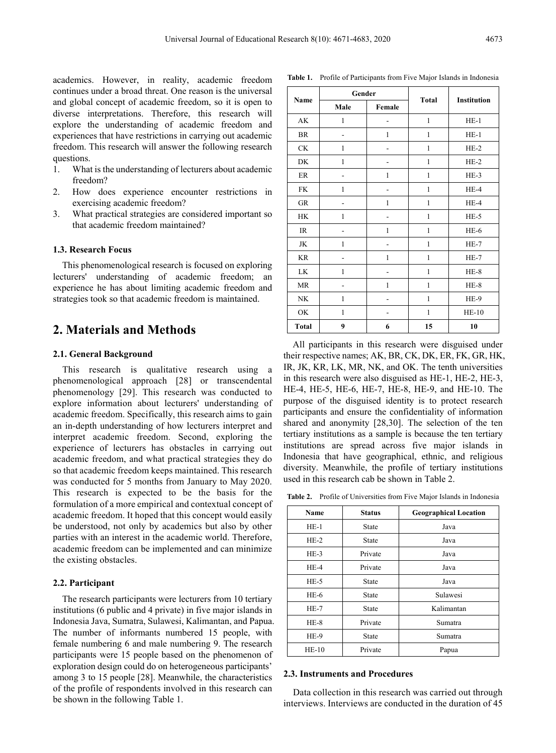academics. However, in reality, academic freedom continues under a broad threat. One reason is the universal and global concept of academic freedom, so it is open to diverse interpretations. Therefore, this research will explore the understanding of academic freedom and experiences that have restrictions in carrying out academic freedom. This research will answer the following research questions.

- 1. What is the understanding of lecturers about academic freedom?
- 2. How does experience encounter restrictions in exercising academic freedom?
- 3. What practical strategies are considered important so that academic freedom maintained?

#### **1.3. Research Focus**

This phenomenological research is focused on exploring lecturers' understanding of academic freedom; an experience he has about limiting academic freedom and strategies took so that academic freedom is maintained.

# **2. Materials and Methods**

#### **2.1. General Background**

This research is qualitative research using a phenomenological approach [28] or transcendental phenomenology [29]. This research was conducted to explore information about lecturers' understanding of academic freedom. Specifically, this research aims to gain an in-depth understanding of how lecturers interpret and interpret academic freedom. Second, exploring the experience of lecturers has obstacles in carrying out academic freedom, and what practical strategies they do so that academic freedom keeps maintained. This research was conducted for 5 months from January to May 2020. This research is expected to be the basis for the formulation of a more empirical and contextual concept of academic freedom. It hoped that this concept would easily be understood, not only by academics but also by other parties with an interest in the academic world. Therefore, academic freedom can be implemented and can minimize the existing obstacles.

#### **2.2. Participant**

The research participants were lecturers from 10 tertiary institutions (6 public and 4 private) in five major islands in Indonesia Java, Sumatra, Sulawesi, Kalimantan, and Papua. The number of informants numbered 15 people, with female numbering 6 and male numbering 9. The research participants were 15 people based on the phenomenon of exploration design could do on heterogeneous participants' among 3 to 15 people [28]. Meanwhile, the characteristics of the profile of respondents involved in this research can be shown in the following Table 1.

| Name          | Gender       |        |              |             |
|---------------|--------------|--------|--------------|-------------|
|               | Male         | Female | <b>Total</b> | Institution |
| AK            | 1            |        | $\mathbf{1}$ | $HE-1$      |
| BR            |              | 1      | $\mathbf{1}$ | $HE-1$      |
| $\mathrm{CK}$ | $\mathbf{1}$ |        | $\mathbf{1}$ | $HE-2$      |
| DK            | $\mathbf{1}$ |        | $\mathbf{1}$ | $HE-2$      |
| $\rm ER$      |              | 1      | $\mathbf{1}$ | $HE-3$      |
| FK.           | $\mathbf{1}$ |        | $\mathbf{1}$ | $HE-4$      |
| GR            |              | 1      | $\mathbf{1}$ | $HE-4$      |
| HK            | 1            |        | $\mathbf{1}$ | $HE-5$      |
| IR            |              | 1      | 1            | $HE-6$      |
| JK            | 1            |        | $\mathbf{1}$ | $HE-7$      |
| <b>KR</b>     |              | 1      | 1            | $HE-7$      |
| LK            | 1            |        | 1            | $HE-8$      |
| MR            |              | 1      | $\mathbf{1}$ | $HE-8$      |
| NK            | 1            |        | $\mathbf{1}$ | HE-9        |
| OK            | $\mathbf{1}$ |        | $\mathbf{1}$ | $HE-10$     |
| <b>Total</b>  | 9            | 6      | 15           | 10          |

**Table 1.** Profile of Participants from Five Major Islands in Indonesia

All participants in this research were disguised under their respective names; AK, BR, CK, DK, ER, FK, GR, HK, IR, JK, KR, LK, MR, NK, and OK. The tenth universities in this research were also disguised as HE-1, HE-2, HE-3, HE-4, HE-5, HE-6, HE-7, HE-8, HE-9, and HE-10. The purpose of the disguised identity is to protect research participants and ensure the confidentiality of information shared and anonymity [28,30]. The selection of the ten tertiary institutions as a sample is because the ten tertiary institutions are spread across five major islands in Indonesia that have geographical, ethnic, and religious diversity. Meanwhile, the profile of tertiary institutions used in this research cab be shown in Table 2.

**Table 2.** Profile of Universities from Five Major Islands in Indonesia

| Name            | <b>Status</b> | <b>Geographical Location</b> |  |
|-----------------|---------------|------------------------------|--|
| $HE-1$          | State         | Java                         |  |
| $HE-2$          | State         | Java                         |  |
| $HE-3$          | Private       | Java                         |  |
| $HE-4$          | Private       | Java                         |  |
| $HE-5$          | State         | Java                         |  |
| $HE-6$          | <b>State</b>  | Sulawesi                     |  |
| $HE-7$          | State         | Kalimantan                   |  |
| $HE-8$          | Private       | Sumatra                      |  |
| $HE-9$<br>State |               | Sumatra                      |  |
| $HE-10$         | Private       | Papua                        |  |

#### **2.3. Instruments and Procedures**

Data collection in this research was carried out through interviews. Interviews are conducted in the duration of 45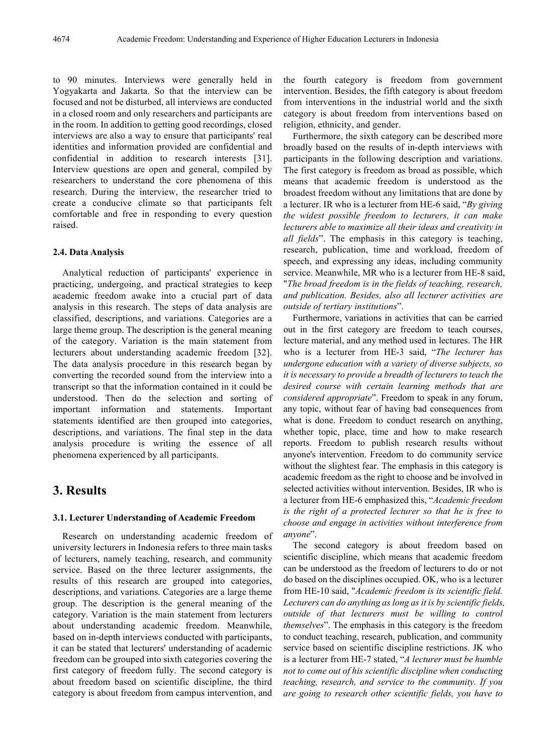to 90 minutes. Interviews were generally held in Yogyakarta and Jakarta. So that the interview can be focused and not be disturbed, all interviews are conducted in a closed room and only researchers and participants are in the room. In addition to getting good recordings, closed interviews are also a way to ensure that participants' real identities and information provided are confidential and confidential in addition to research interests [31]. Interview questions are open and general, compiled by researchers to understand the core phenomena of this research. During the interview, the researcher tried to create a conducive climate so that participants felt comfortable and free in responding to every question raised.

#### **2.4. Data Analysis**

Analytical reduction of participants' experience in practicing, undergoing, and practical strategies to keep academic freedom awake into a crucial part of data analysis in this research. The steps of data analysis are classified, descriptions, and variations. Categories are a large theme group. The description is the general meaning of the category. Variation is the main statement from lecturers about understanding academic freedom [32]. The data analysis procedure in this research began by converting the recorded sound from the interview into a transcript so that the information contained in it could be understood. Then do the selection and sorting of important information and statements. Important statements identified are then grouped into categories, descriptions, and variations. The final step in the data analysis procedure is writing the essence of all phenomena experienced by all participants.

# **3. Results**

#### **3.1. Lecturer Understanding of Academic Freedom**

Research on understanding academic freedom of university lecturers in Indonesia refers to three main tasks of lecturers, namely teaching, research, and community service. Based on the three lecturer assignments, the results of this research are grouped into categories, descriptions, and variations. Categories are a large theme group. The description is the general meaning of the category. Variation is the main statement from lecturers about understanding academic freedom. Meanwhile, based on in-depth interviews conducted with participants, it can be stated that lecturers' understanding of academic freedom can be grouped into sixth categories covering the first category of freedom fully. The second category is about freedom based on scientific discipline, the third category is about freedom from campus intervention, and

the fourth category is freedom from government intervention. Besides, the fifth category is about freedom from interventions in the industrial world and the sixth category is about freedom from interventions based on religion, ethnicity, and gender.

Furthermore, the sixth category can be described more broadly based on the results of in-depth interviews with participants in the following description and variations. The first category is freedom as broad as possible, which means that academic freedom is understood as the broadest freedom without any limitations that are done by a lecturer. IR who is a lecturer from HE-6 said, "*By giving the widest possible freedom to lecturers, it can make lecturers able to maximize all their ideas and creativity in all fields*". The emphasis in this category is teaching, research, publication, time and workload, freedom of speech, and expressing any ideas, including community service. Meanwhile, MR who is a lecturer from HE-8 said, "*The broad freedom is in the fields of teaching, research, and publication. Besides, also all lecturer activities are outside of tertiary institutions*".

Furthermore, variations in activities that can be carried out in the first category are freedom to teach courses, lecture material, and any method used in lectures. The HR who is a lecturer from HE-3 said, "*The lecturer has undergone education with a variety of diverse subjects, so it is necessary to provide a breadth of lecturers to teach the desired course with certain learning methods that are considered appropriate*". Freedom to speak in any forum, any topic, without fear of having bad consequences from what is done. Freedom to conduct research on anything, whether topic, place, time and how to make research reports. Freedom to publish research results without anyone's intervention. Freedom to do community service without the slightest fear. The emphasis in this category is academic freedom as the right to choose and be involved in selected activities without intervention. Besides, IR who is a lecturer from HE-6 emphasized this, "*Academic freedom is the right of a protected lecturer so that he is free to choose and engage in activities without interference from anyone*".

The second category is about freedom based on scientific discipline, which means that academic freedom can be understood as the freedom of lecturers to do or not do based on the disciplines occupied. OK, who is a lecturer from HE-10 said, "*Academic freedom is its scientific field. Lecturers can do anything as long as it is by scientific fields, outside of that lecturers must be willing to control themselves*". The emphasis in this category is the freedom to conduct teaching, research, publication, and community service based on scientific discipline restrictions. JK who is a lecturer from HE-7 stated, "*A lecturer must be humble not to come out of his scientific discipline when conducting teaching, research, and service to the community. If you are going to research other scientific fields, you have to*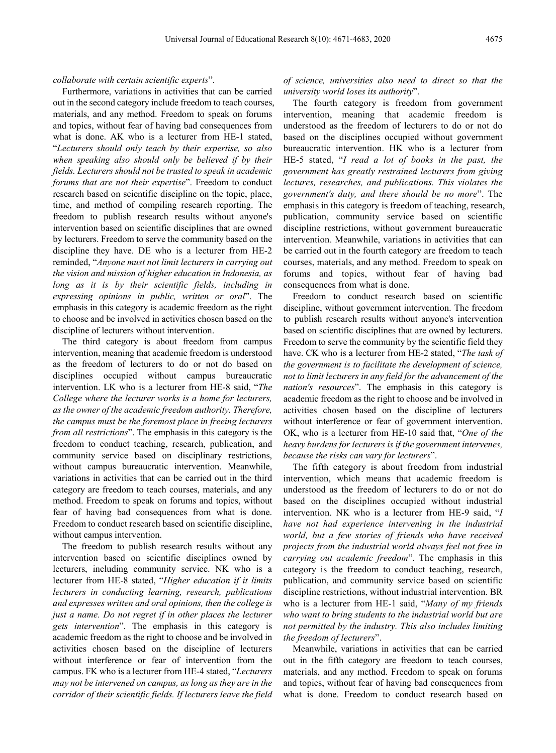#### *collaborate with certain scientific experts*".

Furthermore, variations in activities that can be carried out in the second category include freedom to teach courses, materials, and any method. Freedom to speak on forums and topics, without fear of having bad consequences from what is done. AK who is a lecturer from HE-1 stated, "*Lecturers should only teach by their expertise, so also when speaking also should only be believed if by their fields. Lecturers should not be trusted to speak in academic forums that are not their expertise*". Freedom to conduct research based on scientific discipline on the topic, place, time, and method of compiling research reporting. The freedom to publish research results without anyone's intervention based on scientific disciplines that are owned by lecturers. Freedom to serve the community based on the discipline they have. DE who is a lecturer from HE-2 reminded, "*Anyone must not limit lecturers in carrying out the vision and mission of higher education in Indonesia, as long as it is by their scientific fields, including in expressing opinions in public, written or oral*". The emphasis in this category is academic freedom as the right to choose and be involved in activities chosen based on the discipline of lecturers without intervention.

The third category is about freedom from campus intervention, meaning that academic freedom is understood as the freedom of lecturers to do or not do based on disciplines occupied without campus bureaucratic intervention. LK who is a lecturer from HE-8 said, "*The College where the lecturer works is a home for lecturers, as the owner of the academic freedom authority. Therefore, the campus must be the foremost place in freeing lecturers from all restrictions*". The emphasis in this category is the freedom to conduct teaching, research, publication, and community service based on disciplinary restrictions, without campus bureaucratic intervention. Meanwhile, variations in activities that can be carried out in the third category are freedom to teach courses, materials, and any method. Freedom to speak on forums and topics, without fear of having bad consequences from what is done. Freedom to conduct research based on scientific discipline, without campus intervention.

The freedom to publish research results without any intervention based on scientific disciplines owned by lecturers, including community service. NK who is a lecturer from HE-8 stated, "*Higher education if it limits lecturers in conducting learning, research, publications and expresses written and oral opinions, then the college is just a name. Do not regret if in other places the lecturer gets intervention*". The emphasis in this category is academic freedom as the right to choose and be involved in activities chosen based on the discipline of lecturers without interference or fear of intervention from the campus. FK who is a lecturer from HE-4 stated, "*Lecturers may not be intervened on campus, as long as they are in the corridor of their scientific fields. If lecturers leave the field* 

*of science, universities also need to direct so that the university world loses its authority*".

The fourth category is freedom from government intervention, meaning that academic freedom is understood as the freedom of lecturers to do or not do based on the disciplines occupied without government bureaucratic intervention. HK who is a lecturer from HE-5 stated, "*I read a lot of books in the past, the government has greatly restrained lecturers from giving lectures, researches, and publications. This violates the government's duty, and there should be no more*". The emphasis in this category is freedom of teaching, research, publication, community service based on scientific discipline restrictions, without government bureaucratic intervention. Meanwhile, variations in activities that can be carried out in the fourth category are freedom to teach courses, materials, and any method. Freedom to speak on forums and topics, without fear of having bad consequences from what is done.

Freedom to conduct research based on scientific discipline, without government intervention. The freedom to publish research results without anyone's intervention based on scientific disciplines that are owned by lecturers. Freedom to serve the community by the scientific field they have. CK who is a lecturer from HE-2 stated, "*The task of the government is to facilitate the development of science, not to limit lecturers in any field for the advancement of the nation's resources*". The emphasis in this category is academic freedom as the right to choose and be involved in activities chosen based on the discipline of lecturers without interference or fear of government intervention. OK, who is a lecturer from HE-10 said that, "*One of the heavy burdens for lecturers is if the government intervenes, because the risks can vary for lecturers*".

The fifth category is about freedom from industrial intervention, which means that academic freedom is understood as the freedom of lecturers to do or not do based on the disciplines occupied without industrial intervention. NK who is a lecturer from HE-9 said, "*I have not had experience intervening in the industrial world, but a few stories of friends who have received projects from the industrial world always feel not free in carrying out academic freedom*". The emphasis in this category is the freedom to conduct teaching, research, publication, and community service based on scientific discipline restrictions, without industrial intervention. BR who is a lecturer from HE-1 said, "*Many of my friends who want to bring students to the industrial world but are not permitted by the industry. This also includes limiting the freedom of lecturers*".

Meanwhile, variations in activities that can be carried out in the fifth category are freedom to teach courses, materials, and any method. Freedom to speak on forums and topics, without fear of having bad consequences from what is done. Freedom to conduct research based on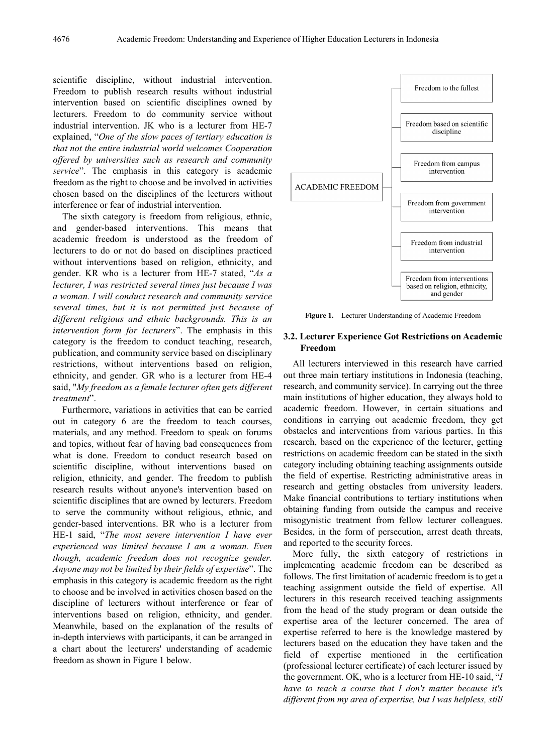scientific discipline, without industrial intervention. Freedom to publish research results without industrial intervention based on scientific disciplines owned by lecturers. Freedom to do community service without industrial intervention. JK who is a lecturer from HE-7 explained, "*One of the slow paces of tertiary education is that not the entire industrial world welcomes Cooperation offered by universities such as research and community service*". The emphasis in this category is academic freedom as the right to choose and be involved in activities chosen based on the disciplines of the lecturers without interference or fear of industrial intervention.

The sixth category is freedom from religious, ethnic, and gender-based interventions. This means that academic freedom is understood as the freedom of lecturers to do or not do based on disciplines practiced without interventions based on religion, ethnicity, and gender. KR who is a lecturer from HE-7 stated, "*As a lecturer, I was restricted several times just because I was a woman. I will conduct research and community service several times, but it is not permitted just because of different religious and ethnic backgrounds. This is an intervention form for lecturers*". The emphasis in this category is the freedom to conduct teaching, research, publication, and community service based on disciplinary restrictions, without interventions based on religion, ethnicity, and gender. GR who is a lecturer from HE-4 said, "*My freedom as a female lecturer often gets different treatment*".

Furthermore, variations in activities that can be carried out in category 6 are the freedom to teach courses, materials, and any method. Freedom to speak on forums and topics, without fear of having bad consequences from what is done. Freedom to conduct research based on scientific discipline, without interventions based on religion, ethnicity, and gender. The freedom to publish research results without anyone's intervention based on scientific disciplines that are owned by lecturers. Freedom to serve the community without religious, ethnic, and gender-based interventions. BR who is a lecturer from HE-1 said, "*The most severe intervention I have ever experienced was limited because I am a woman. Even though, academic freedom does not recognize gender. Anyone may not be limited by their fields of expertise*". The emphasis in this category is academic freedom as the right to choose and be involved in activities chosen based on the discipline of lecturers without interference or fear of interventions based on religion, ethnicity, and gender. Meanwhile, based on the explanation of the results of in-depth interviews with participants, it can be arranged in a chart about the lecturers' understanding of academic freedom as shown in Figure 1 below.



**Figure 1.** Lecturer Understanding of Academic Freedom

#### **3.2. Lecturer Experience Got Restrictions on Academic Freedom**

All lecturers interviewed in this research have carried out three main tertiary institutions in Indonesia (teaching, research, and community service). In carrying out the three main institutions of higher education, they always hold to academic freedom. However, in certain situations and conditions in carrying out academic freedom, they get obstacles and interventions from various parties. In this research, based on the experience of the lecturer, getting restrictions on academic freedom can be stated in the sixth category including obtaining teaching assignments outside the field of expertise. Restricting administrative areas in research and getting obstacles from university leaders. Make financial contributions to tertiary institutions when obtaining funding from outside the campus and receive misogynistic treatment from fellow lecturer colleagues. Besides, in the form of persecution, arrest death threats, and reported to the security forces.

More fully, the sixth category of restrictions in implementing academic freedom can be described as follows. The first limitation of academic freedom is to get a teaching assignment outside the field of expertise. All lecturers in this research received teaching assignments from the head of the study program or dean outside the expertise area of the lecturer concerned. The area of expertise referred to here is the knowledge mastered by lecturers based on the education they have taken and the field of expertise mentioned in the certification (professional lecturer certificate) of each lecturer issued by the government. OK, who is a lecturer from HE-10 said, "*I have to teach a course that I don't matter because it's different from my area of expertise, but I was helpless, still*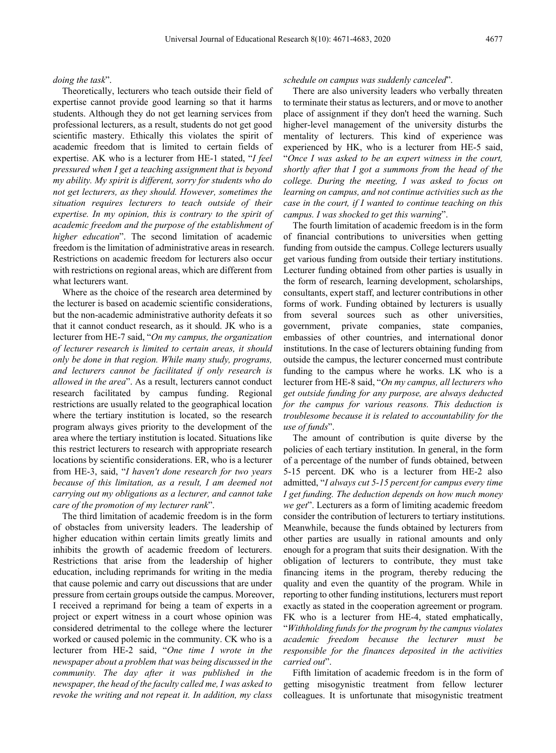#### *doing the task*".

Theoretically, lecturers who teach outside their field of expertise cannot provide good learning so that it harms students. Although they do not get learning services from professional lecturers, as a result, students do not get good scientific mastery. Ethically this violates the spirit of academic freedom that is limited to certain fields of expertise. AK who is a lecturer from HE-1 stated, "*I feel pressured when I get a teaching assignment that is beyond my ability. My spirit is different, sorry for students who do not get lecturers, as they should. However, sometimes the situation requires lecturers to teach outside of their expertise. In my opinion, this is contrary to the spirit of academic freedom and the purpose of the establishment of higher education*". The second limitation of academic freedom is the limitation of administrative areas in research. Restrictions on academic freedom for lecturers also occur with restrictions on regional areas, which are different from what lecturers want.

Where as the choice of the research area determined by the lecturer is based on academic scientific considerations, but the non-academic administrative authority defeats it so that it cannot conduct research, as it should. JK who is a lecturer from HE-7 said, "*On my campus, the organization of lecturer research is limited to certain areas, it should only be done in that region. While many study, programs, and lecturers cannot be facilitated if only research is allowed in the area*". As a result, lecturers cannot conduct research facilitated by campus funding. Regional restrictions are usually related to the geographical location where the tertiary institution is located, so the research program always gives priority to the development of the area where the tertiary institution is located. Situations like this restrict lecturers to research with appropriate research locations by scientific considerations. ER, who is a lecturer from HE-3, said, "*I haven't done research for two years because of this limitation, as a result, I am deemed not carrying out my obligations as a lecturer, and cannot take care of the promotion of my lecturer rank*".

The third limitation of academic freedom is in the form of obstacles from university leaders. The leadership of higher education within certain limits greatly limits and inhibits the growth of academic freedom of lecturers. Restrictions that arise from the leadership of higher education, including reprimands for writing in the media that cause polemic and carry out discussions that are under pressure from certain groups outside the campus. Moreover, I received a reprimand for being a team of experts in a project or expert witness in a court whose opinion was considered detrimental to the college where the lecturer worked or caused polemic in the community. CK who is a lecturer from HE-2 said, "*One time I wrote in the newspaper about a problem that was being discussed in the community. The day after it was published in the newspaper, the head of the faculty called me, I was asked to revoke the writing and not repeat it. In addition, my class* 

#### *schedule on campus was suddenly canceled*".

There are also university leaders who verbally threaten to terminate their status as lecturers, and or move to another place of assignment if they don't heed the warning. Such higher-level management of the university disturbs the mentality of lecturers. This kind of experience was experienced by HK, who is a lecturer from HE-5 said, "*Once I was asked to be an expert witness in the court, shortly after that I got a summons from the head of the college. During the meeting, I was asked to focus on learning on campus, and not continue activities such as the case in the court, if I wanted to continue teaching on this campus. I was shocked to get this warning*".

The fourth limitation of academic freedom is in the form of financial contributions to universities when getting funding from outside the campus. College lecturers usually get various funding from outside their tertiary institutions. Lecturer funding obtained from other parties is usually in the form of research, learning development, scholarships, consultants, expert staff, and lecturer contributions in other forms of work. Funding obtained by lecturers is usually from several sources such as other universities, government, private companies, state companies, embassies of other countries, and international donor institutions. In the case of lecturers obtaining funding from outside the campus, the lecturer concerned must contribute funding to the campus where he works. LK who is a lecturer from HE-8 said, "*On my campus, all lecturers who get outside funding for any purpose, are always deducted for the campus for various reasons. This deduction is troublesome because it is related to accountability for the use of funds*".

The amount of contribution is quite diverse by the policies of each tertiary institution. In general, in the form of a percentage of the number of funds obtained, between 5-15 percent. DK who is a lecturer from HE-2 also admitted, "*I always cut 5-15 percent for campus every time I get funding. The deduction depends on how much money we get*". Lecturers as a form of limiting academic freedom consider the contribution of lecturers to tertiary institutions. Meanwhile, because the funds obtained by lecturers from other parties are usually in rational amounts and only enough for a program that suits their designation. With the obligation of lecturers to contribute, they must take financing items in the program, thereby reducing the quality and even the quantity of the program. While in reporting to other funding institutions, lecturers must report exactly as stated in the cooperation agreement or program. FK who is a lecturer from HE-4, stated emphatically, "*Withholding funds for the program by the campus violates academic freedom because the lecturer must be responsible for the finances deposited in the activities carried out*".

Fifth limitation of academic freedom is in the form of getting misogynistic treatment from fellow lecturer colleagues. It is unfortunate that misogynistic treatment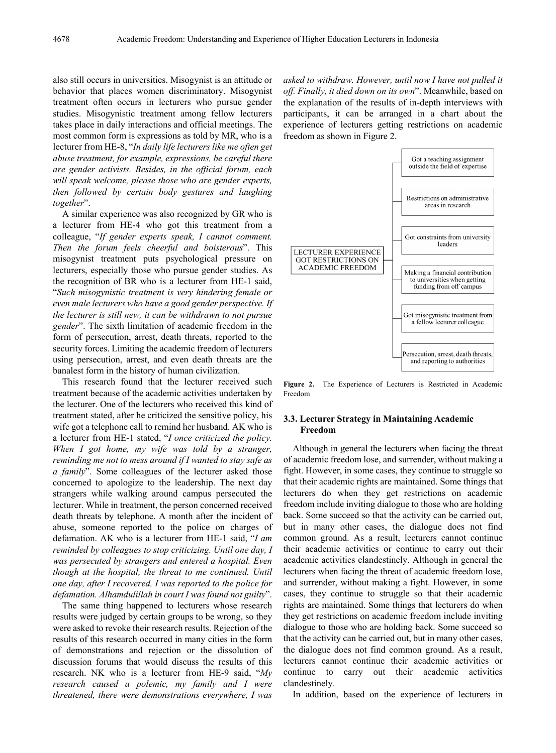also still occurs in universities. Misogynist is an attitude or behavior that places women discriminatory. Misogynist treatment often occurs in lecturers who pursue gender studies. Misogynistic treatment among fellow lecturers takes place in daily interactions and official meetings. The most common form is expressions as told by MR, who is a lecturer from HE-8, "*In daily life lecturers like me often get abuse treatment, for example, expressions, be careful there are gender activists. Besides, in the official forum, each will speak welcome, please those who are gender experts, then followed by certain body gestures and laughing together*".

A similar experience was also recognized by GR who is a lecturer from HE-4 who got this treatment from a colleague, "*If gender experts speak, I cannot comment. Then the forum feels cheerful and boisterous*". This misogynist treatment puts psychological pressure on lecturers, especially those who pursue gender studies. As the recognition of BR who is a lecturer from HE-1 said, "*Such misogynistic treatment is very hindering female or even male lecturers who have a good gender perspective. If the lecturer is still new, it can be withdrawn to not pursue gender*". The sixth limitation of academic freedom in the form of persecution, arrest, death threats, reported to the security forces. Limiting the academic freedom of lecturers using persecution, arrest, and even death threats are the banalest form in the history of human civilization.

This research found that the lecturer received such treatment because of the academic activities undertaken by the lecturer. One of the lecturers who received this kind of treatment stated, after he criticized the sensitive policy, his wife got a telephone call to remind her husband. AK who is a lecturer from HE-1 stated, "*I once criticized the policy. When I got home, my wife was told by a stranger, reminding me not to mess around if I wanted to stay safe as a family*". Some colleagues of the lecturer asked those concerned to apologize to the leadership. The next day strangers while walking around campus persecuted the lecturer. While in treatment, the person concerned received death threats by telephone. A month after the incident of abuse, someone reported to the police on charges of defamation. AK who is a lecturer from HE-1 said, "*I am reminded by colleagues to stop criticizing. Until one day, I was persecuted by strangers and entered a hospital. Even though at the hospital, the threat to me continued. Until one day, after I recovered, I was reported to the police for defamation. Alhamdulillah in court I was found not guilty*".

The same thing happened to lecturers whose research results were judged by certain groups to be wrong, so they were asked to revoke their research results. Rejection of the results of this research occurred in many cities in the form of demonstrations and rejection or the dissolution of discussion forums that would discuss the results of this research. NK who is a lecturer from HE-9 said, "*My research caused a polemic, my family and I were threatened, there were demonstrations everywhere, I was* 

*asked to withdraw. However, until now I have not pulled it off. Finally, it died down on its own*". Meanwhile, based on the explanation of the results of in-depth interviews with participants, it can be arranged in a chart about the experience of lecturers getting restrictions on academic freedom as shown in Figure 2.



**Figure 2.** The Experience of Lecturers is Restricted in Academic Freedom

### **3.3. Lecturer Strategy in Maintaining Academic Freedom**

Although in general the lecturers when facing the threat of academic freedom lose, and surrender, without making a fight. However, in some cases, they continue to struggle so that their academic rights are maintained. Some things that lecturers do when they get restrictions on academic freedom include inviting dialogue to those who are holding back. Some succeed so that the activity can be carried out, but in many other cases, the dialogue does not find common ground. As a result, lecturers cannot continue their academic activities or continue to carry out their academic activities clandestinely. Although in general the lecturers when facing the threat of academic freedom lose, and surrender, without making a fight. However, in some cases, they continue to struggle so that their academic rights are maintained. Some things that lecturers do when they get restrictions on academic freedom include inviting dialogue to those who are holding back. Some succeed so that the activity can be carried out, but in many other cases, the dialogue does not find common ground. As a result, lecturers cannot continue their academic activities or continue to carry out their academic activities clandestinely.

In addition, based on the experience of lecturers in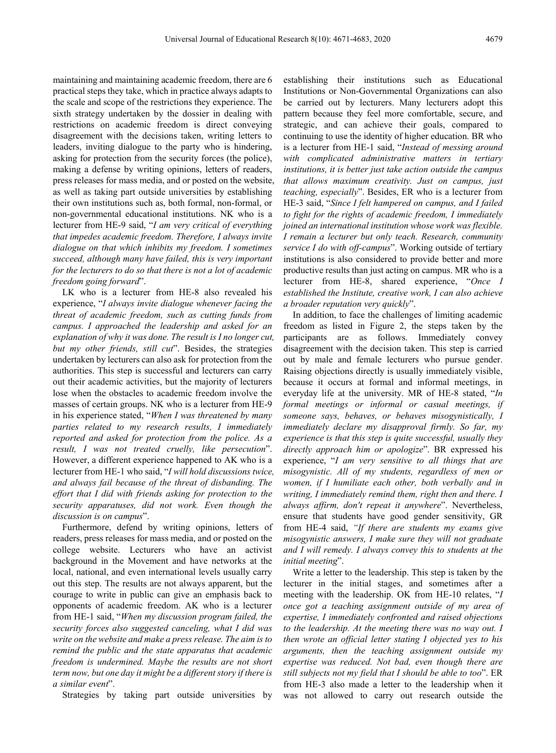maintaining and maintaining academic freedom, there are 6 practical steps they take, which in practice always adapts to the scale and scope of the restrictions they experience. The sixth strategy undertaken by the dossier in dealing with restrictions on academic freedom is direct conveying disagreement with the decisions taken, writing letters to leaders, inviting dialogue to the party who is hindering, asking for protection from the security forces (the police), making a defense by writing opinions, letters of readers, press releases for mass media, and or posted on the website, as well as taking part outside universities by establishing their own institutions such as, both formal, non-formal, or non-governmental educational institutions. NK who is a lecturer from HE-9 said, "*I am very critical of everything that impedes academic freedom. Therefore, I always invite dialogue on that which inhibits my freedom. I sometimes succeed, although many have failed, this is very important for the lecturers to do so that there is not a lot of academic freedom going forward*".

LK who is a lecturer from HE-8 also revealed his experience, "*I always invite dialogue whenever facing the threat of academic freedom, such as cutting funds from campus. I approached the leadership and asked for an explanation of why it was done. The result is I no longer cut, but my other friends, still cut*". Besides, the strategies undertaken by lecturers can also ask for protection from the authorities. This step is successful and lecturers can carry out their academic activities, but the majority of lecturers lose when the obstacles to academic freedom involve the masses of certain groups. NK who is a lecturer from HE-9 in his experience stated, "*When I was threatened by many parties related to my research results, I immediately reported and asked for protection from the police. As a result, I was not treated cruelly, like persecution*". However, a different experience happened to AK who is a lecturer from HE-1 who said, "*I will hold discussions twice, and always fail because of the threat of disbanding. The effort that I did with friends asking for protection to the security apparatuses, did not work. Even though the discussion is on campus*".

Furthermore, defend by writing opinions, letters of readers, press releases for mass media, and or posted on the college website. Lecturers who have an activist background in the Movement and have networks at the local, national, and even international levels usually carry out this step. The results are not always apparent, but the courage to write in public can give an emphasis back to opponents of academic freedom. AK who is a lecturer from HE-1 said, "*When my discussion program failed, the security forces also suggested canceling, what I did was write on the website and make a press release. The aim is to remind the public and the state apparatus that academic freedom is undermined. Maybe the results are not short term now, but one day it might be a different story if there is a similar event*".

Strategies by taking part outside universities by

establishing their institutions such as Educational Institutions or Non-Governmental Organizations can also be carried out by lecturers. Many lecturers adopt this pattern because they feel more comfortable, secure, and strategic, and can achieve their goals, compared to continuing to use the identity of higher education. BR who is a lecturer from HE-1 said, "*Instead of messing around with complicated administrative matters in tertiary institutions, it is better just take action outside the campus that allows maximum creativity. Just on campus, just teaching, especially*". Besides, ER who is a lecturer from HE-3 said, "*Since I felt hampered on campus, and I failed to fight for the rights of academic freedom, I immediately joined an international institution whose work was flexible. I remain a lecturer but only teach. Research, community service I do with off-campus*". Working outside of tertiary institutions is also considered to provide better and more productive results than just acting on campus. MR who is a lecturer from HE-8, shared experience, "*Once I established the Institute, creative work, I can also achieve a broader reputation very quickly*".

In addition, to face the challenges of limiting academic freedom as listed in Figure 2, the steps taken by the participants are as follows. Immediately convey disagreement with the decision taken. This step is carried out by male and female lecturers who pursue gender. Raising objections directly is usually immediately visible, because it occurs at formal and informal meetings, in everyday life at the university. MR of HE-8 stated, "*In formal meetings or informal or casual meetings, if someone says, behaves, or behaves misogynistically, I immediately declare my disapproval firmly. So far, my experience is that this step is quite successful, usually they directly approach him or apologize*". BR expressed his experience, "*I am very sensitive to all things that are misogynistic. All of my students, regardless of men or women, if I humiliate each other, both verbally and in writing, I immediately remind them, right then and there. I always affirm, don't repeat it anywhere*". Nevertheless, ensure that students have good gender sensitivity, GR from HE-4 said, *"If there are students my exams give misogynistic answers, I make sure they will not graduate and I will remedy. I always convey this to students at the initial meeting*".

Write a letter to the leadership. This step is taken by the lecturer in the initial stages, and sometimes after a meeting with the leadership. OK from HE-10 relates, "*I once got a teaching assignment outside of my area of expertise, I immediately confronted and raised objections to the leadership. At the meeting there was no way out. I then wrote an official letter stating I objected yes to his arguments, then the teaching assignment outside my expertise was reduced. Not bad, even though there are still subjects not my field that I should be able to too*". ER from HE-3 also made a letter to the leadership when it was not allowed to carry out research outside the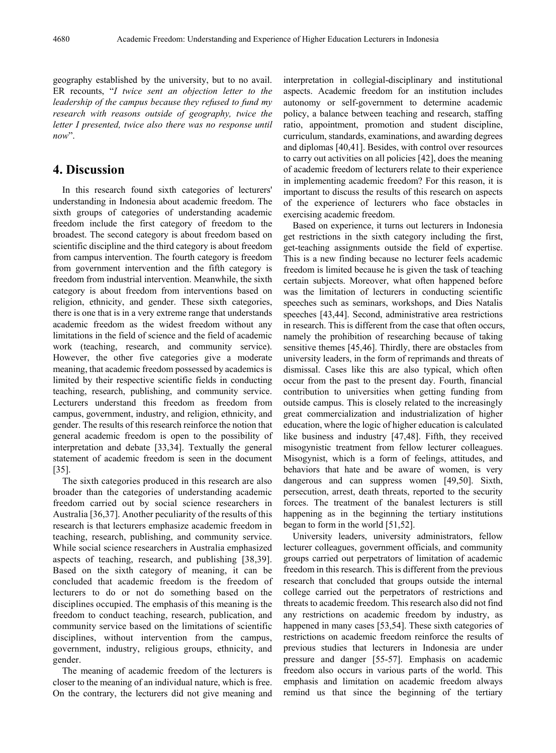geography established by the university, but to no avail. ER recounts, "*I twice sent an objection letter to the leadership of the campus because they refused to fund my research with reasons outside of geography, twice the letter I presented, twice also there was no response until now*".

## **4. Discussion**

In this research found sixth categories of lecturers' understanding in Indonesia about academic freedom. The sixth groups of categories of understanding academic freedom include the first category of freedom to the broadest. The second category is about freedom based on scientific discipline and the third category is about freedom from campus intervention. The fourth category is freedom from government intervention and the fifth category is freedom from industrial intervention. Meanwhile, the sixth category is about freedom from interventions based on religion, ethnicity, and gender. These sixth categories, there is one that is in a very extreme range that understands academic freedom as the widest freedom without any limitations in the field of science and the field of academic work (teaching, research, and community service). However, the other five categories give a moderate meaning, that academic freedom possessed by academics is limited by their respective scientific fields in conducting teaching, research, publishing, and community service. Lecturers understand this freedom as freedom from campus, government, industry, and religion, ethnicity, and gender. The results of this research reinforce the notion that general academic freedom is open to the possibility of interpretation and debate [33,34]. Textually the general statement of academic freedom is seen in the document [35].

The sixth categories produced in this research are also broader than the categories of understanding academic freedom carried out by social science researchers in Australia [36,37]. Another peculiarity of the results of this research is that lecturers emphasize academic freedom in teaching, research, publishing, and community service. While social science researchers in Australia emphasized aspects of teaching, research, and publishing [38,39]. Based on the sixth category of meaning, it can be concluded that academic freedom is the freedom of lecturers to do or not do something based on the disciplines occupied. The emphasis of this meaning is the freedom to conduct teaching, research, publication, and community service based on the limitations of scientific disciplines, without intervention from the campus, government, industry, religious groups, ethnicity, and gender.

The meaning of academic freedom of the lecturers is closer to the meaning of an individual nature, which is free. On the contrary, the lecturers did not give meaning and

interpretation in collegial-disciplinary and institutional aspects. Academic freedom for an institution includes autonomy or self-government to determine academic policy, a balance between teaching and research, staffing ratio, appointment, promotion and student discipline, curriculum, standards, examinations, and awarding degrees and diplomas [40,41]. Besides, with control over resources to carry out activities on all policies [42], does the meaning of academic freedom of lecturers relate to their experience in implementing academic freedom? For this reason, it is important to discuss the results of this research on aspects of the experience of lecturers who face obstacles in exercising academic freedom.

Based on experience, it turns out lecturers in Indonesia get restrictions in the sixth category including the first, get-teaching assignments outside the field of expertise. This is a new finding because no lecturer feels academic freedom is limited because he is given the task of teaching certain subjects. Moreover, what often happened before was the limitation of lecturers in conducting scientific speeches such as seminars, workshops, and Dies Natalis speeches [43,44]. Second, administrative area restrictions in research. This is different from the case that often occurs, namely the prohibition of researching because of taking sensitive themes [45,46]. Thirdly, there are obstacles from university leaders, in the form of reprimands and threats of dismissal. Cases like this are also typical, which often occur from the past to the present day. Fourth, financial contribution to universities when getting funding from outside campus. This is closely related to the increasingly great commercialization and industrialization of higher education, where the logic of higher education is calculated like business and industry [47,48]. Fifth, they received misogynistic treatment from fellow lecturer colleagues. Misogynist, which is a form of feelings, attitudes, and behaviors that hate and be aware of women, is very dangerous and can suppress women [49,50]. Sixth, persecution, arrest, death threats, reported to the security forces. The treatment of the banalest lecturers is still happening as in the beginning the tertiary institutions began to form in the world [51,52].

University leaders, university administrators, fellow lecturer colleagues, government officials, and community groups carried out perpetrators of limitation of academic freedom in this research. This is different from the previous research that concluded that groups outside the internal college carried out the perpetrators of restrictions and threats to academic freedom. This research also did not find any restrictions on academic freedom by industry, as happened in many cases [53,54]. These sixth categories of restrictions on academic freedom reinforce the results of previous studies that lecturers in Indonesia are under pressure and danger [55-57]. Emphasis on academic freedom also occurs in various parts of the world. This emphasis and limitation on academic freedom always remind us that since the beginning of the tertiary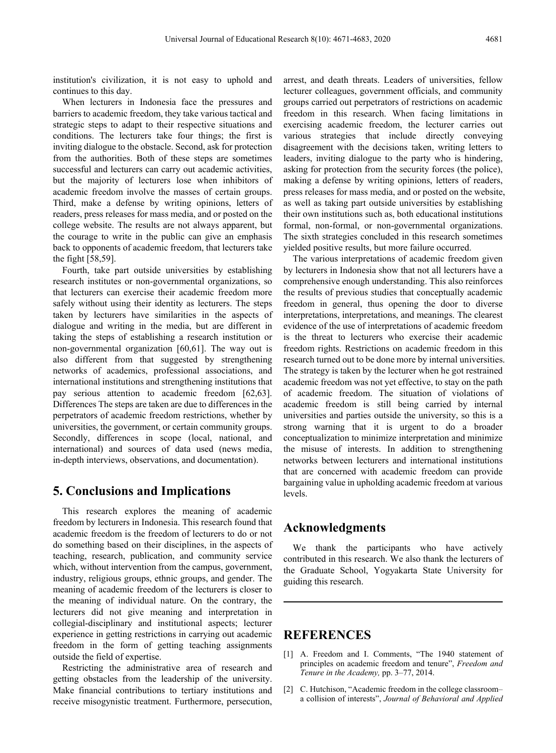institution's civilization, it is not easy to uphold and continues to this day.

When lecturers in Indonesia face the pressures and barriers to academic freedom, they take various tactical and strategic steps to adapt to their respective situations and conditions. The lecturers take four things; the first is inviting dialogue to the obstacle. Second, ask for protection from the authorities. Both of these steps are sometimes successful and lecturers can carry out academic activities, but the majority of lecturers lose when inhibitors of academic freedom involve the masses of certain groups. Third, make a defense by writing opinions, letters of readers, press releases for mass media, and or posted on the college website. The results are not always apparent, but the courage to write in the public can give an emphasis back to opponents of academic freedom, that lecturers take the fight [58,59].

Fourth, take part outside universities by establishing research institutes or non-governmental organizations, so that lecturers can exercise their academic freedom more safely without using their identity as lecturers. The steps taken by lecturers have similarities in the aspects of dialogue and writing in the media, but are different in taking the steps of establishing a research institution or non-governmental organization [60,61]. The way out is also different from that suggested by strengthening networks of academics, professional associations, and international institutions and strengthening institutions that pay serious attention to academic freedom [62,63]. Differences The steps are taken are due to differences in the perpetrators of academic freedom restrictions, whether by universities, the government, or certain community groups. Secondly, differences in scope (local, national, and international) and sources of data used (news media, in-depth interviews, observations, and documentation).

## **5. Conclusions and Implications**

This research explores the meaning of academic freedom by lecturers in Indonesia. This research found that academic freedom is the freedom of lecturers to do or not do something based on their disciplines, in the aspects of teaching, research, publication, and community service which, without intervention from the campus, government, industry, religious groups, ethnic groups, and gender. The meaning of academic freedom of the lecturers is closer to the meaning of individual nature. On the contrary, the lecturers did not give meaning and interpretation in collegial-disciplinary and institutional aspects; lecturer experience in getting restrictions in carrying out academic freedom in the form of getting teaching assignments outside the field of expertise.

Restricting the administrative area of research and getting obstacles from the leadership of the university. Make financial contributions to tertiary institutions and receive misogynistic treatment. Furthermore, persecution,

arrest, and death threats. Leaders of universities, fellow lecturer colleagues, government officials, and community groups carried out perpetrators of restrictions on academic freedom in this research. When facing limitations in exercising academic freedom, the lecturer carries out various strategies that include directly conveying disagreement with the decisions taken, writing letters to leaders, inviting dialogue to the party who is hindering, asking for protection from the security forces (the police), making a defense by writing opinions, letters of readers, press releases for mass media, and or posted on the website, as well as taking part outside universities by establishing their own institutions such as, both educational institutions formal, non-formal, or non-governmental organizations. The sixth strategies concluded in this research sometimes yielded positive results, but more failure occurred.

The various interpretations of academic freedom given by lecturers in Indonesia show that not all lecturers have a comprehensive enough understanding. This also reinforces the results of previous studies that conceptually academic freedom in general, thus opening the door to diverse interpretations, interpretations, and meanings. The clearest evidence of the use of interpretations of academic freedom is the threat to lecturers who exercise their academic freedom rights. Restrictions on academic freedom in this research turned out to be done more by internal universities. The strategy is taken by the lecturer when he got restrained academic freedom was not yet effective, to stay on the path of academic freedom. The situation of violations of academic freedom is still being carried by internal universities and parties outside the university, so this is a strong warning that it is urgent to do a broader conceptualization to minimize interpretation and minimize the misuse of interests. In addition to strengthening networks between lecturers and international institutions that are concerned with academic freedom can provide bargaining value in upholding academic freedom at various levels.

## **Acknowledgments**

We thank the participants who have actively contributed in this research. We also thank the lecturers of the Graduate School, Yogyakarta State University for guiding this research.

## **REFERENCES**

- [1] A. Freedom and I. Comments, "The 1940 statement of principles on academic freedom and tenure", *Freedom and Tenure in the Academy,* pp. 3–77, 2014.
- [2] C. Hutchison, "Academic freedom in the college classrooma collision of interests", *Journal of Behavioral and Applied*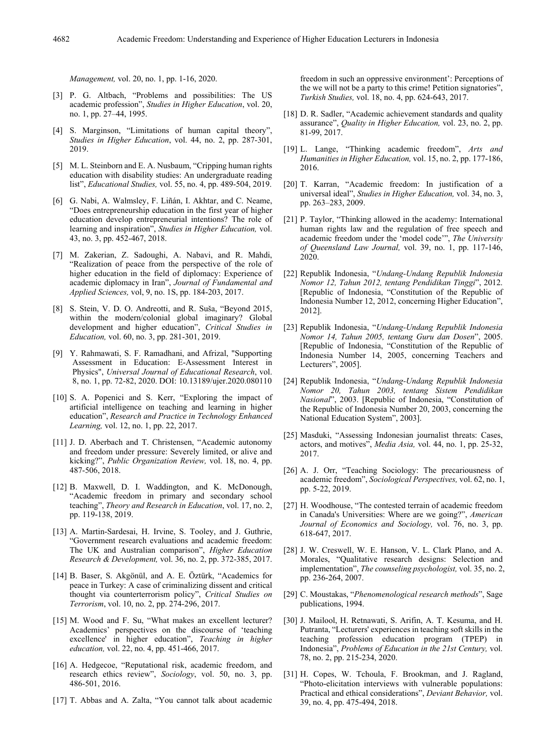*Management,* vol. 20, no. 1, pp. 1-16, 2020.

- [3] P. G. Altbach, "Problems and possibilities: The US academic profession", *Studies in Higher Education*, vol. 20, no. 1, pp. 27–44, 1995.
- [4] S. Marginson, "Limitations of human capital theory" *Studies in Higher Education*, vol. 44, no. 2, pp. 287-301, 2019.
- [5] M. L. Steinborn and E. A. Nusbaum, "Cripping human rights education with disability studies: An undergraduate reading list", *Educational Studies,* vol. 55, no. 4, pp. 489-504, 2019.
- [6] G. Nabi, A. Walmsley, F. Liñán, I. Akhtar, and C. Neame, "Does entrepreneurship education in the first year of higher education develop entrepreneurial intentions? The role of learning and inspiration", *Studies in Higher Education,* vol. 43, no. 3, pp. 452-467, 2018.
- [7] M. Zakerian, Z. Sadoughi, A. Nabavi, and R. Mahdi, "Realization of peace from the perspective of the role of higher education in the field of diplomacy: Experience of academic diplomacy in Iran", *Journal of Fundamental and Applied Sciences,* vol, 9, no. 1S, pp. 184-203, 2017.
- [8] S. Stein, V. D. O. Andreotti, and R. Suša, "Beyond 2015, within the modern/colonial global imaginary? Global development and higher education", *Critical Studies in Education,* vol. 60, no. 3, pp. 281-301, 2019.
- [9] Y. Rahmawati, S. F. Ramadhani, and Afrizal, "Supporting Assessment in Education: E-Assessment Interest in Physics", *Universal Journal of Educational Research*, vol. 8, no. 1, pp. 72-82, 2020. DOI: 10.13189/ujer.2020.080110
- [10] S. A. Popenici and S. Kerr, "Exploring the impact of artificial intelligence on teaching and learning in higher education", *Research and Practice in Technology Enhanced Learning,* vol. 12, no. 1, pp. 22, 2017.
- [11] J. D. Aberbach and T. Christensen, "Academic autonomy and freedom under pressure: Severely limited, or alive and kicking?", *Public Organization Review,* vol. 18, no. 4, pp. 487-506, 2018.
- [12] B. Maxwell, D. I. Waddington, and K. McDonough, "Academic freedom in primary and secondary school teaching", *Theory and Research in Education*, vol. 17, no. 2, pp. 119-138, 2019.
- [13] A. Martin-Sardesai, H. Irvine, S. Tooley, and J. Guthrie, "Government research evaluations and academic freedom: The UK and Australian comparison", *Higher Education Research & Development,* vol. 36, no. 2, pp. 372-385, 2017.
- [14] B. Baser, S. Akgönül, and A. E. Öztürk, "Academics for peace in Turkey: A case of criminalizing dissent and critical thought via counterterrorism policy", *Critical Studies on Terrorism*, vol. 10, no. 2, pp. 274-296, 2017.
- [15] M. Wood and F. Su, "What makes an excellent lecturer? Academics' perspectives on the discourse of 'teaching excellence' in higher education", *Teaching in higher education,* vol. 22, no. 4, pp. 451-466, 2017.
- [16] A. Hedgecoe, "Reputational risk, academic freedom, and research ethics review", *Sociology*, vol. 50, no. 3, pp. 486-501, 2016.
- [17] T. Abbas and A. Zalta, "You cannot talk about academic

freedom in such an oppressive environment': Perceptions of the we will not be a party to this crime! Petition signatories", *Turkish Studies,* vol. 18, no. 4, pp. 624-643, 2017.

- [18] D. R. Sadler, "Academic achievement standards and quality assurance", *Quality in Higher Education,* vol. 23, no. 2, pp. 81-99, 2017.
- [19] L. Lange, "Thinking academic freedom", *Arts and Humanities in Higher Education,* vol. 15, no. 2, pp. 177-186, 2016.
- [20] T. Karran, "Academic freedom: In justification of a universal ideal", *Studies in Higher Education,* vol. 34, no. 3, pp. 263–283, 2009.
- [21] P. Taylor, "Thinking allowed in the academy: International human rights law and the regulation of free speech and academic freedom under the 'model code'", *The University of Queensland Law Journal,* vol. 39, no. 1, pp. 117-146, 2020.
- [22] Republik Indonesia, "*Undang-Undang Republik Indonesia Nomor 12, Tahun 2012, tentang Pendidikan Tinggi*", 2012. [Republic of Indonesia, "Constitution of the Republic of Indonesia Number 12, 2012, concerning Higher Education", 2012].
- [23] Republik Indonesia, "*Undang-Undang Republik Indonesia Nomor 14, Tahun 2005, tentang Guru dan Dosen*", 2005. [Republic of Indonesia, "Constitution of the Republic of Indonesia Number 14, 2005, concerning Teachers and Lecturers", 2005].
- [24] Republik Indonesia, "*Undang-Undang Republik Indonesia Nomor 20, Tahun 2003, tentang Sistem Pendidikan Nasional*", 2003. [Republic of Indonesia, "Constitution of the Republic of Indonesia Number 20, 2003, concerning the National Education System", 2003].
- [25] Masduki, "Assessing Indonesian journalist threats: Cases, actors, and motives", *Media Asia,* vol. 44, no. 1, pp. 25-32, 2017.
- [26] A. J. Orr, "Teaching Sociology: The precariousness of academic freedom", *Sociological Perspectives,* vol. 62, no. 1, pp. 5-22, 2019.
- [27] H. Woodhouse, "The contested terrain of academic freedom in Canada's Universities: Where are we going?", *American Journal of Economics and Sociology,* vol. 76, no. 3, pp. 618-647, 2017.
- [28] J. W. Creswell, W. E. Hanson, V. L. Clark Plano, and A. Morales, "Qualitative research designs: Selection and implementation", *The counseling psychologist,* vol. 35, no. 2, pp. 236-264, 2007.
- [29] C. Moustakas, "*Phenomenological research methods*", Sage publications, 1994.
- [30] J. Mailool, H. Retnawati, S. Arifin, A. T. Kesuma, and H. Putranta, "Lecturers' experiences in teaching soft skills in the teaching profession education program (TPEP) in Indonesia", *Problems of Education in the 21st Century,* vol. 78, no. 2, pp. 215-234, 2020.
- [31] H. Copes, W. Tchoula, F. Brookman, and J. Ragland, "Photo-elicitation interviews with vulnerable populations: Practical and ethical considerations", *Deviant Behavior,* vol. 39, no. 4, pp. 475-494, 2018.